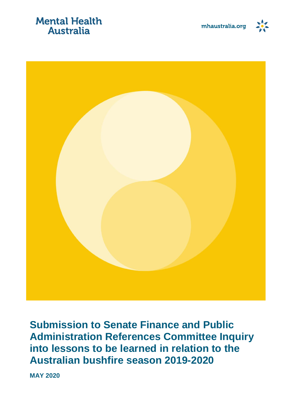# **Mental Health Australia**





**Submission to Senate Finance and Public Administration References Committee Inquiry into lessons to be learned in relation to the Australian bushfire season 2019-2020**

**MAY 2020**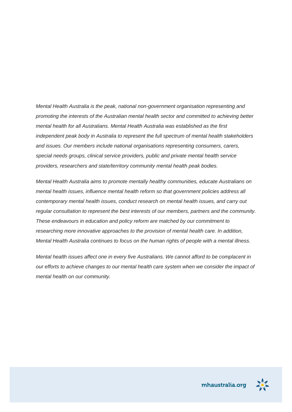*Mental Health Australia is the peak, national non-government organisation representing and promoting the interests of the Australian mental health sector and committed to achieving better mental health for all Australians. Mental Health Australia was established as the first independent peak body in Australia to represent the full spectrum of mental health stakeholders and issues. Our members include national organisations representing consumers, carers, special needs groups, clinical service providers, public and private mental health service providers, researchers and state/territory community mental health peak bodies.*

*Mental Health Australia aims to promote mentally healthy communities, educate Australians on mental health issues, influence mental health reform so that government policies address all contemporary mental health issues, conduct research on mental health issues, and carry out regular consultation to represent the best interests of our members, partners and the community. These endeavours in education and policy reform are matched by our commitment to researching more innovative approaches to the provision of mental health care. In addition, Mental Health Australia continues to focus on the human rights of people with a mental illness.*

*Mental health issues affect one in every five Australians. We cannot afford to be complacent in our efforts to achieve changes to our mental health care system when we consider the impact of mental health on our community.*

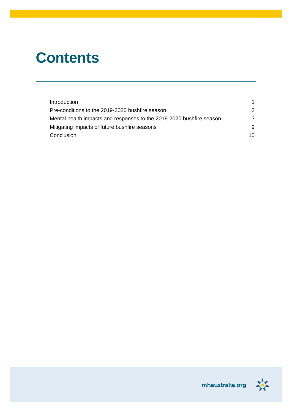# **Contents**

| Introduction                                                         |               |
|----------------------------------------------------------------------|---------------|
| Pre-conditions to the 2019-2020 bushfire season                      | $\mathcal{P}$ |
| Mental health impacts and responses to the 2019-2020 bushfire season | 3             |
| Mitigating impacts of future bushfire seasons                        | 9             |
| Conclusion                                                           | 10            |

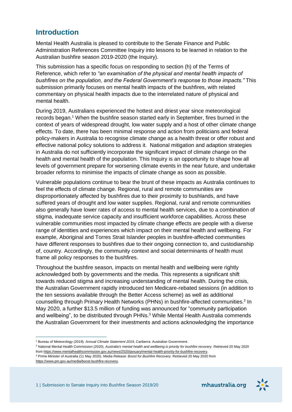# <span id="page-3-0"></span>**Introduction**

Mental Health Australia is pleased to contribute to the Senate Finance and Public Administration References Committee Inquiry into lessons to be learned in relation to the Australian bushfire season 2019-2020 (the Inquiry).

This submission has a specific focus on responding to section (h) of the Terms of Reference, which refer to *"an examination of the physical and mental health impacts of bushfires on the population, and the Federal Government's response to those impacts."* This submission primarily focuses on mental health impacts of the bushfires, with related commentary on physical health impacts due to the interrelated nature of physical and mental health.

During 2019, Australians experienced the hottest and driest year since meteorological records began.<sup>1</sup> When the bushfire season started early in September, fires burned in the context of years of widespread drought, low water supply and a host of other climate change effects. To date, there has been minimal response and action from politicians and federal policy-makers in Australia to recognise climate change as a health threat or offer robust and effective national policy solutions to address it. National mitigation and adaption strategies in Australia do not sufficiently incorporate the significant impact of climate change on the health and mental health of the population. This Inquiry is an opportunity to shape how all levels of government prepare for worsening climate events in the near future, and undertake broader reforms to minimise the impacts of climate change as soon as possible.

Vulnerable populations continue to bear the brunt of these impacts as Australia continues to feel the effects of climate change. Regional, rural and remote communities are disproportionately affected by bushfires due to their proximity to bushlands, and have suffered years of drought and low water supplies. Regional, rural and remote communities also generally have lower rates of access to mental health services, due to a combination of stigma, inadequate service capacity and insufficient workforce capabilities. Across these vulnerable communities most impacted by climate change effects are people with a diverse range of identities and experiences which impact on their mental health and wellbeing. For example, Aboriginal and Torres Strait Islander peoples in bushfire-affected communities have different responses to bushfires due to their ongoing connection to, and custodianship of, country. Accordingly, the community context and social determinants of health must frame all policy responses to the bushfires.

Throughout the bushfire season, impacts on mental health and wellbeing were rightly acknowledged both by governments and the media. This represents a significant shift towards reduced stigma and increasing understanding of mental health. During the crisis, the Australian Government rapidly introduced ten Medicare-rebated sessions (in addition to the ten sessions available through the Better Access scheme) as well as additional counselling through Primary Health Networks (PHNs) in bushfire-affected communities.<sup>2</sup> In May 2020, a further \$13.5 million of funding was announced for "community participation and wellbeing", to be distributed through PHNs.<sup>3</sup> While Mental Health Australia commends the Australian Government for their investments and actions acknowledging the importance



<sup>1</sup> Bureau of Meteorology (2019). *Annual Climate Statement 2019*, Canberra: Australian Government.

<sup>&</sup>lt;sup>2</sup> National Mental Health Commission (2020). *Australia's mental health and wellbeing is priority for bushfire recovery.* Retrieved 20 May 2020 from [https://www.mentalhealthcommission.gov.au/news/2020/january/mental-health-priority-for-bushfire-recovery.](https://www.mentalhealthcommission.gov.au/news/2020/january/mental-health-priority-for-bushfire-recovery)

<sup>3</sup> Prime Minister of Australia (11 May 2020). *Media Release: Boost for Bushfire Recovery.* Retrieved 20 May 2020 from [https://www.pm.gov.au/media/boost-bushfire-recovery.](https://www.pm.gov.au/media/boost-bushfire-recovery)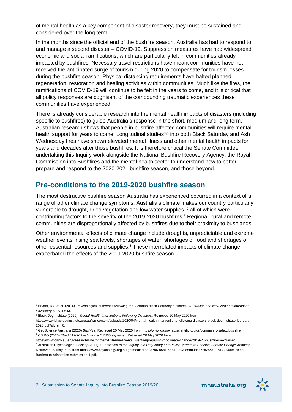of mental health as a key component of disaster recovery, they must be sustained and considered over the long term.

In the months since the official end of the bushfire season, Australia has had to respond to and manage a second disaster – COVID-19. Suppression measures have had widespread economic and social ramifications, which are particularly felt in communities already impacted by bushfires. Necessary travel restrictions have meant communities have not received the anticipated surge of tourism during 2020 to compensate for tourism losses during the bushfire season. Physical distancing requirements have halted planned regeneration, restoration and healing activities within communities. Much like the fires, the ramifications of COVID-19 will continue to be felt in the years to come, and it is critical that all policy responses are cognisant of the compounding traumatic experiences these communities have experienced.

There is already considerable research into the mental health impacts of disasters (including specific to bushfires) to guide Australia's response in the short, medium and long term. Australian research shows that people in bushfire-affected communities will require mental health support for years to come. Longitudinal studies<sup>4,5</sup> into both Black Saturday and Ash Wednesday fires have shown elevated mental illness and other mental health impacts for years and decades after those bushfires. It is therefore critical the Senate Committee undertaking this Inquiry work alongside the National Bushfire Recovery Agency, the Royal Commission into Bushfires and the mental health sector to understand how to better prepare and respond to the 2020-2021 bushfire season, and those beyond.

### <span id="page-4-0"></span>**Pre-conditions to the 2019-2020 bushfire season**

The most destructive bushfire season Australia has experienced occurred in a context of a range of other climate change symptoms. Australia's climate makes our country particularly vulnerable to drought, dried vegetation and low water supplies,  $6$  all of which were contributing factors to the severity of the 2019-2020 bushfires.<sup>7</sup> Regional, rural and remote communities are disproportionally affected by bushfires due to their proximity to bushlands.

Other environmental effects of climate change include droughts, unpredictable and extreme weather events, rising sea levels, shortages of water, shortages of food and shortages of other essential resources and supplies.<sup>8</sup> These interrelated impacts of climate change exacerbated the effects of the 2019-2020 bushfire season.

[https://www.blackdoginstitute.org.au/wp-content/uploads/2020/04/mental-health-interventions-following-disasters-black-dog-institute-february-](https://www.blackdoginstitute.org.au/wp-content/uploads/2020/04/mental-health-interventions-following-disasters-black-dog-institute-february-2020.pdf?sfvrsn=0)[2020.pdf?sfvrsn=0.](https://www.blackdoginstitute.org.au/wp-content/uploads/2020/04/mental-health-interventions-following-disasters-black-dog-institute-february-2020.pdf?sfvrsn=0) 



<sup>4</sup> Bryant, RA. et al. (2014) 'Psychological outcomes following the Victorian Black Saturday bushfires,' *Australian and New Zealand Journal of Psychiatry* 48:634-643.

<sup>5</sup> Black Dog Institute (2020). *Mental Health Interventions Following Disasters*. Retrieved 20 May 2020 from

<sup>6</sup> GeoScience Australia (2020) *Bushfire*. Retrieved 20 May 2020 from [https://www.ga.gov.au/scientific-topics/community-safety/bushfire.](https://www.ga.gov.au/scientific-topics/community-safety/bushfire)  <sup>7</sup> CSIRO (2020) *The 2019-20 bushfires: a CSIRO explainer*. Retrieved 20 May 2020 from

[https://www.csiro.au/en/Research/Environment/Extreme-Events/Bushfire/preparing-for-climate-change/2019-20-bushfires-explainer.](https://www.csiro.au/en/Research/Environment/Extreme-Events/Bushfire/preparing-for-climate-change/2019-20-bushfires-explainer)  8 Australian Psychological Society (2011). Submission to the Inquiry into Regulatory and Policy Barriers to Effective Climate Change Adaption. Retrieved 20 May 2020 fro[m https://www.psychology.org.au/getmedia/1ea237a6-06c1-46ba-8893-e6bb3dc472d2/2012-APS-Submission-](https://www.psychology.org.au/getmedia/1ea237a6-06c1-46ba-8893-e6bb3dc472d2/2012-APS-Submission-Barriers-to-adaptation-submission-1.pdf)[Barriers-to-adaptation-submission-1.pdf.](https://www.psychology.org.au/getmedia/1ea237a6-06c1-46ba-8893-e6bb3dc472d2/2012-APS-Submission-Barriers-to-adaptation-submission-1.pdf)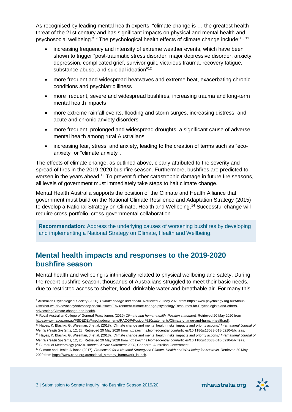As recognised by leading mental health experts, "climate change is … the greatest health threat of the 21st century and has significant impacts on physical and mental health and psychosocial wellbeing." <sup>9</sup> The psychological health effects of climate change include:<sup>10, 11</sup>

- increasing frequency and intensity of extreme weather events, which have been shown to trigger "post-traumatic stress disorder, major depressive disorder, anxiety, depression, complicated grief, survivor guilt, vicarious trauma, recovery fatigue, substance abuse, and suicidal ideation"<sup>12</sup>
- more frequent and widespread heatwaves and extreme heat, exacerbating chronic conditions and psychiatric illness
- more frequent, severe and widespread bushfires, increasing trauma and long-term mental health impacts
- more extreme rainfall events, flooding and storm surges, increasing distress, and acute and chronic anxiety disorders
- more frequent, prolonged and widespread droughts, a significant cause of adverse mental health among rural Australians
- increasing fear, stress, and anxiety, leading to the creation of terms such as "ecoanxiety" or "climate anxiety".

The effects of climate change, as outlined above, clearly attributed to the severity and spread of fires in the 2019-2020 bushfire season. Furthermore, bushfires are predicted to worsen in the years ahead.<sup>13</sup> To prevent further catastrophic damage in future fire seasons, all levels of government must immediately take steps to halt climate change.

Mental Health Australia supports the position of the Climate and Health Alliance that government must build on the National Climate Resilience and Adaptation Strategy (2015) to develop a National Strategy on Climate, Health and Wellbeing.<sup>14</sup> Successful change will require cross-portfolio, cross-governmental collaboration.

**Recommendation**: Address the underlying causes of worsening bushfires by developing and implementing a National Strategy on Climate, Health and Wellbeing.

# <span id="page-5-0"></span>**Mental health impacts and responses to the 2019-2020 bushfire season**

Mental health and wellbeing is intrinsically related to physical wellbeing and safety. During the recent bushfire season, thousands of Australians struggled to meet their basic needs, due to restricted access to shelter, food, drinkable water and breathable air. For many this

- <sup>10</sup> Royal Australian College of General Practitioners (2019) *Climate and human health: Position statement.* Retrieved 20 May 2020 from [https://www.racgp.org.au/FSDEDEV/media/documents/RACGP/Position%20statements/Climate-change-and-human-health.pdf.](https://www.racgp.org.au/FSDEDEV/media/documents/RACGP/Position%20statements/Climate-change-and-human-health.pdf)
- <sup>11</sup> Hayes, K, Blashki, G, Wiseman, J. et al. (2018). 'Climate change and mental health: risks, impacts and priority actions,' *International Journal of Mental Health Systems,* 12, 28*.* Retrieved 20 May 2020 fro[m https://ijmhs.biomedcentral.com/articles/10.1186/s13033-018-0210-6#citeas.](https://ijmhs.biomedcentral.com/articles/10.1186/s13033-018-0210-6#citeas) <sup>12</sup> Hayes, K, Blashki, G, Wiseman, J. et al. (2018). 'Climate change and mental health: risks, impacts and priority actions,' *International Journal of Mental Health Systems,* 12, 28*.* Retrieved 20 May 2020 fro[m https://ijmhs.biomedcentral.com/articles/10.1186/s13033-018-0210-6#citeas.](https://ijmhs.biomedcentral.com/articles/10.1186/s13033-018-0210-6#citeas)
- <sup>13</sup> Bureau of Meteorology (2020). *Annual Climate Statement 2020*, Canberra: Australian Government.



<sup>9</sup> Australian Psychological Society (2020). *Climate change and health.* Retrieved 20 May 2020 from [https://www.psychology.org.au/About-](https://www.psychology.org.au/About-Us/What-we-do/advocacy/Advocacy-social-issues/Environment-climate-change-psychology/Resources-for-Psychologists-and-others-advocating/Climate-change-and-health)[Us/What-we-do/advocacy/Advocacy-social-issues/Environment-climate-change-psychology/Resources-for-Psychologists-and-others](https://www.psychology.org.au/About-Us/What-we-do/advocacy/Advocacy-social-issues/Environment-climate-change-psychology/Resources-for-Psychologists-and-others-advocating/Climate-change-and-health)[advocating/Climate-change-and-health.](https://www.psychology.org.au/About-Us/What-we-do/advocacy/Advocacy-social-issues/Environment-climate-change-psychology/Resources-for-Psychologists-and-others-advocating/Climate-change-and-health)

<sup>14</sup> Climate and Health Alliance (2017). *Framework for a National Strategy on Climate, Health and Well-being for Australia.* Retrieved 20 May 2020 fro[m https://www.caha.org.au/national\\_strategy\\_framework\\_launch.](https://www.caha.org.au/national_strategy_framework_launch)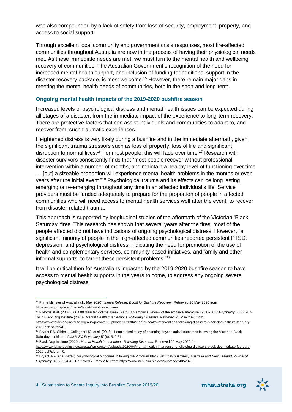was also compounded by a lack of safety from loss of security, employment, property, and access to social support.

Through excellent local community and government crisis responses, most fire-affected communities throughout Australia are now in the process of having their physiological needs met. As these immediate needs are met, we must turn to the mental health and wellbeing recovery of communities. The Australian Government's recognition of the need for increased mental health support, and inclusion of funding for additional support in the disaster recovery package, is most welcome.<sup>15</sup> However, there remain major gaps in meeting the mental health needs of communities, both in the short and long-term.

#### **Ongoing mental health impacts of the 2019-2020 bushfire season**

Increased levels of psychological distress and mental health issues can be expected during all stages of a disaster, from the immediate impact of the experience to long-term recovery. There are protective factors that can assist individuals and communities to adapt to, and recover from, such traumatic experiences.

Heightened distress is very likely during a bushfire and in the immediate aftermath, given the significant trauma stressors such as loss of property, loss of life and significant disruption to normal lives.<sup>16</sup> For most people, this will fade over time.<sup>17</sup> Research with disaster survivors consistently finds that "most people recover without professional intervention within a number of months, and maintain a healthy level of functioning over time … [but] a sizeable proportion will experience mental health problems in the months or even years after the initial event."<sup>18</sup> Psychological trauma and its effects can be long lasting, emerging or re-emerging throughout any time in an affected individual's life. Service providers must be funded adequately to prepare for the proportion of people in affected communities who will need access to mental health services well after the event, to recover from disaster-related trauma.

This approach is supported by longitudinal studies of the aftermath of the Victorian 'Black Saturday' fires. This research has shown that several years after the fires, most of the people affected did not have indications of ongoing psychological distress. However, "a significant minority of people in the high-affected communities reported persistent PTSD, depression, and psychological distress, indicating the need for promotion of the use of health and complementary services, community-based initiatives, and family and other informal supports, to target these persistent problems."<sup>19</sup>

It will be critical then for Australians impacted by the 2019-2020 bushfire season to have access to mental health supports in the years to come, to address any ongoing severe psychological distress.



<sup>15</sup> Prime Minister of Australia (11 May 2020). *Media Release: Boost for Bushfire Recovery.* Retrieved 20 May 2020 from [https://www.pm.gov.au/media/boost-bushfire-recovery.](https://www.pm.gov.au/media/boost-bushfire-recovery)

<sup>16</sup> F Norris et al. (2002). '60,000 disaster victims speak: Part I. An empirical review of the empirical literature 1981-2001,' *Psychiatry* 65(3): 207- 39 in Black Dog Institute (2020). *Mental Health Interventions Following Disasters*. Retrieved 20 May 2020 from

[https://www.blackdoginstitute.org.au/wp-content/uploads/2020/04/mental-health-interventions-following-disasters-black-dog-institute-february-](https://www.blackdoginstitute.org.au/wp-content/uploads/2020/04/mental-health-interventions-following-disasters-black-dog-institute-february-2020.pdf?sfvrsn=0)[2020.pdf?sfvrsn=0.](https://www.blackdoginstitute.org.au/wp-content/uploads/2020/04/mental-health-interventions-following-disasters-black-dog-institute-february-2020.pdf?sfvrsn=0) 

<sup>17</sup> Bryant RA, Gibbs L, Gallagher HC, et al. (2018). 'Longitudinal study of changing psychological outcomes following the Victorian Black Saturday bushfires,' *Aust N Z J Psychiatry* 52(6): 542-51.

<sup>18</sup> Black Dog Institute (2020). *Mental Health Interventions Following Disasters*. Retrieved 20 May 2020 from

[https://www.blackdoginstitute.org.au/wp-content/uploads/2020/04/mental-health-interventions-following-disasters-black-dog-institute-february-](https://www.blackdoginstitute.org.au/wp-content/uploads/2020/04/mental-health-interventions-following-disasters-black-dog-institute-february-2020.pdf?sfvrsn=0)[2020.pdf?sfvrsn=0.](https://www.blackdoginstitute.org.au/wp-content/uploads/2020/04/mental-health-interventions-following-disasters-black-dog-institute-february-2020.pdf?sfvrsn=0) 

<sup>19</sup> Bryant, RA. et al (2014). 'Psychological outcomes following the Victorian Black Saturday bushfires,' *Australia and New Zealand Journal of Psychiatry*, 48(7):634-43. Retrieved 20 May 2020 fro[m https://www.ncbi.nlm.nih.gov/pubmed/24852323.](https://www.ncbi.nlm.nih.gov/pubmed/24852323)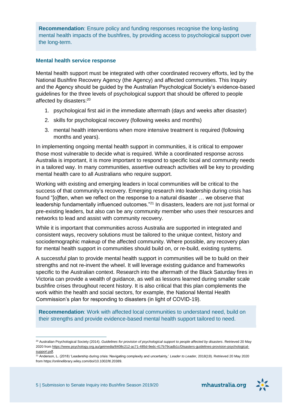**Recommendation**: Ensure policy and funding responses recognise the long-lasting mental health impacts of the bushfires, by providing access to psychological support over the long-term.

#### **Mental health service response**

Mental health support must be integrated with other coordinated recovery efforts, led by the National Bushfire Recovery Agency (the Agency) and affected communities. This Inquiry and the Agency should be guided by the Australian Psychological Society's evidence-based guidelines for the three levels of psychological support that should be offered to people affected by disasters:<sup>20</sup>

- 1. psychological first aid in the immediate aftermath (days and weeks after disaster)
- 2. skills for psychological recovery (following weeks and months)
- 3. mental health interventions when more intensive treatment is required (following months and years).

In implementing ongoing mental health support in communities, it is critical to empower those most vulnerable to decide what is required. While a coordinated response across Australia is important, it is more important to respond to specific local and community needs in a tailored way. In many communities, assertive outreach activities will be key to providing mental health care to all Australians who require support.

Working with existing and emerging leaders in local communities will be critical to the success of that community's recovery. Emerging research into leadership during crisis has found "[o]ften, when we reflect on the response to a natural disaster ... we observe that leadership fundamentally influenced outcomes."<sup>21</sup> In disasters, leaders are not just formal or pre-existing leaders, but also can be any community member who uses their resources and networks to lead and assist with community recovery.

While it is important that communities across Australia are supported in integrated and consistent ways, recovery solutions must be tailored to the unique context, history and sociodemographic makeup of the affected community. Where possible, any recovery plan for mental health support in communities should build on, or re-build, existing systems.

A successful plan to provide mental health support in communities will be to build on their strengths and not re-invent the wheel. It will leverage existing guidance and frameworks specific to the Australian context. Research into the aftermath of the Black Saturday fires in Victoria can provide a wealth of guidance, as well as lessons learned during smaller scale bushfire crises throughout recent history. It is also critical that this plan complements the work within the health and social sectors, for example, the National Mental Health Commission's plan for responding to disasters (in light of COVID-19).

**Recommendation**: Work with affected local communities to understand need, build on their strengths and provide evidence-based mental health support tailored to need.



<sup>20</sup> Australian Psychological Society (2014). *Guidelines for provision of psychological support to people affected by disasters*. Retrieved 20 May 2020 fro[m https://www.psychology.org.au/getmedia/8408c212-ac71-485d-9edc-417b79cadb1c/Disasters-guidelines-provision-psychological](https://www.psychology.org.au/getmedia/8408c212-ac71-485d-9edc-417b79cadb1c/Disasters-guidelines-provision-psychological-support.pdf)[support.pdf.](https://www.psychology.org.au/getmedia/8408c212-ac71-485d-9edc-417b79cadb1c/Disasters-guidelines-provision-psychological-support.pdf)

<sup>21</sup> Anderson, L. (2018) 'Leadership during crisis: Navigating complexity and uncertainty,' *Leader to Leader,* 2018(19). Retrieved 20 May 2020 from https://onlinelibrary.wiley.com/doi/10.1002/ltl.20389.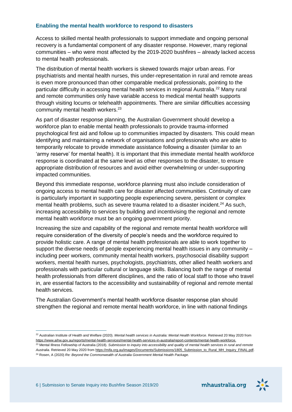#### **Enabling the mental health workforce to respond to disasters**

Access to skilled mental health professionals to support immediate and ongoing personal recovery is a fundamental component of any disaster response. However, many regional communities – who were most affected by the 2019-2020 bushfires – already lacked access to mental health professionals.

The distribution of mental health workers is skewed towards major urban areas. For psychiatrists and mental health nurses, this under-representation in rural and remote areas is even more pronounced than other comparable medical professionals, pointing to the particular difficulty in accessing mental health services in regional Australia.<sup>22</sup> Many rural and remote communities only have variable access to medical mental health supports through visiting locums or telehealth appointments. There are similar difficulties accessing community mental health workers.<sup>23</sup>

As part of disaster response planning, the Australian Government should develop a workforce plan to enable mental health professionals to provide trauma-informed psychological first aid and follow up to communities impacted by disasters. This could mean identifying and maintaining a network of organisations and professionals who are able to temporarily relocate to provide immediate assistance following a disaster (similar to an 'army reserve' for mental health). It is important that this immediate mental health workforce response is coordinated at the same level as other responses to the disaster, to ensure appropriate distribution of resources and avoid either overwhelming or under-supporting impacted communities.

Beyond this immediate response, workforce planning must also include consideration of ongoing access to mental health care for disaster affected communities. Continuity of care is particularly important in supporting people experiencing severe, persistent or complex mental health problems, such as severe trauma related to a disaster incident.<sup>24</sup> As such, increasing accessibility to services by building and incentivising the regional and remote mental health workforce must be an ongoing government priority.

Increasing the size and capability of the regional and remote mental health workforce will require consideration of the diversity of people's needs and the workforce required to provide holistic care. A range of mental health professionals are able to work together to support the diverse needs of people experiencing mental health issues in any community – including peer workers, community mental health workers, psychosocial disability support workers, mental health nurses, psychologists, psychiatrists, other allied health workers and professionals with particular cultural or language skills. Balancing both the range of mental health professionals from different disciplines, and the ratio of local staff to those who travel in, are essential factors to the accessibility and sustainability of regional and remote mental health services.

The Australian Government's mental health workforce disaster response plan should strengthen the regional and remote mental health workforce, in line with national findings

<sup>23</sup> Mental Illness Fellowship of Australia (2018). *Submission to inquiry into accessibility and quality of mental health services in rural and remote* 

Australia. Retrieved 20 May 2020 fro[m https://mifa.org.au/images/Documents/Submissions/1805\\_Submission\\_to\\_Rural\\_MH\\_Inquiry\\_FINAL.pdf.](https://mifa.org.au/images/Documents/Submissions/1805_Submission_to_Rural_MH_Inquiry_FINAL.pdf) <sup>24</sup> Rosen, A (2020) *Re: Beyond the Commonwealth of Australia Government Mental Health Package.*

6 | Submission to Senate Inquiry into Bushfire Season 2019/20



<sup>22</sup> Australian Institute of Health and Welfare (2020). *Mental health services in Australia: Mental Health Workforce*. Retrieved 20 May 2020 from [https://www.aihw.gov.au/reports/mental-health-services/mental-health-services-in-australia/report-contents/mental-health-workforce.](https://www.aihw.gov.au/reports/mental-health-services/mental-health-services-in-australia/report-contents/mental-health-workforce)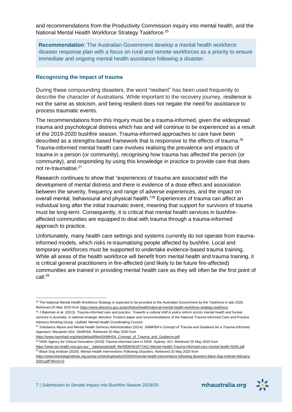and recommendations from the Productivity Commission inquiry into mental health, and the National Mental Health Workforce Strategy Taskforce.<sup>25</sup>

**Recommendation**: The Australian Government develop a mental health workforce disaster response plan with a focus on rural and remote workforces as a priority to ensure immediate and ongoing mental health assistance following a disaster.

#### **Recognising the impact of trauma**

During these compounding disasters, the word "resilient" has been used frequently to describe the character of Australians. While important to the recovery journey, resilience is not the same as stoicism, and being resilient does not negate the need for assistance to process traumatic events.

The recommendations from this Inquiry must be a trauma-informed, given the widespread trauma and psychological distress which has and will continue to be experienced as a result of the 2019-2020 bushfire season. Trauma-informed approaches to care have been described as a strengths-based framework that is responsive to the effects of trauma.<sup>26</sup> Trauma-informed mental health care involves realising the prevalence and impacts of trauma in a person (or community), recognising how trauma has affected the person (or community), and responding by using this knowledge in practice to provide care that does not re-traumatise.<sup>27</sup>

Research continues to show that "experiences of trauma are associated with the development of mental distress and there is evidence of a dose effect and association between the severity, frequency and range of adverse experiences, and the impact on overall mental, behavioural and physical health."<sup>28</sup> Experiences of trauma can affect an individual long after the initial traumatic event, meaning that support for survivors of trauma must be long-term. Consequently, it is critical that mental health services in bushfireaffected communities are equipped to deal with trauma through a trauma-informed approach to practice.

Unfortunately, many health care settings and systems currently do not operate from traumainformed models, which risks re-traumatising people affected by bushfire. Local and temporary workforces must be supported to undertake evidence-based trauma training. While all areas of the health workforce will benefit from mental health and trauma training, it is critical general practitioners in fire-affected (and likely to be future fire-affected) communities are trained in providing mental health care as they will often be the first point of call.<sup>29</sup>

<sup>28</sup> NSW Agency for Clinical Innovation (2019) *Trauma-informed care in NSW*. Sydney: ACI. Retrieved 20 May 2020 from

7 | Submission to Senate Inquiry into Bushfire Season 2019/20



<sup>&</sup>lt;sup>25</sup> The National Mental Health Workforce Strategy is expected to be provided to the Australian Government by the Taskforce in late 2020. Retrieved 20 May 2020 fro[m https://www.directory.gov.au/portfolios/health/national-mental-health-workforce-strategy-taskforce.](https://www.directory.gov.au/portfolios/health/national-mental-health-workforce-strategy-taskforce)

<sup>26</sup> J Bateman et al. (2013). *Trauma-informed care and practice: Towards a cultural shift in policy reform across mental health and human*  services in Australia. A national strategic direction. Position paper and recommendations of the National Trauma-Informed Care and Practice Advisory Working Group. Lilyfield: Mental Health Coordinating Council.

<sup>27</sup> Substance Abuse and Mental Health Services Administration (2014). *SAMHSA's Concept of Trauma and Guidance for a Trauma-Informed Approach*, Maryland USA: SAMHSA. Retrieved 20 May 2020 from

[https://www.nasmhpd.org/sites/default/files/SAMHSA\\_Concept\\_of\\_Trauma\\_and\\_Guidance.pdf.](https://www.nasmhpd.org/sites/default/files/SAMHSA_Concept_of_Trauma_and_Guidance.pdf)

[https://www.aci.health.nsw.gov.au/\\_\\_data/assets/pdf\\_file/0008/561977/ACI-Mental-Health-Trauma-informed-care-mental-health-NSW.pdf.](https://www.aci.health.nsw.gov.au/__data/assets/pdf_file/0008/561977/ACI-Mental-Health-Trauma-informed-care-mental-health-NSW.pdf) <sup>29</sup> Black Dog Institute (2020). *Mental Health Interventions Following Disasters.* Retrieved 20 May 2020 from

[https://www.blackdoginstitute.org.au/wp-content/uploads/2020/04/mental-health-interventions-following-disasters-black-dog-institute-february-](https://www.blackdoginstitute.org.au/wp-content/uploads/2020/04/mental-health-interventions-following-disasters-black-dog-institute-february-2020.pdf?sfvrsn=0)[2020.pdf?sfvrsn=0.](https://www.blackdoginstitute.org.au/wp-content/uploads/2020/04/mental-health-interventions-following-disasters-black-dog-institute-february-2020.pdf?sfvrsn=0)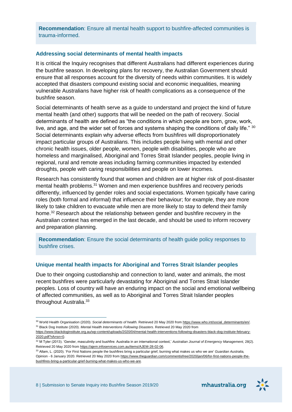**Recommendation**: Ensure all mental health support to bushfire-affected communities is trauma-informed.

#### **Addressing social determinants of mental health impacts**

It is critical the Inquiry recognises that different Australians had different experiences during the bushfire season. In developing plans for recovery, the Australian Government should ensure that all responses account for the diversity of needs within communities. It is widely accepted that disasters compound existing social and economic inequalities, meaning vulnerable Australians have higher risk of health complications as a consequence of the bushfire season.

Social determinants of health serve as a guide to understand and project the kind of future mental health (and other) supports that will be needed on the path of recovery. Social determinants of health are defined as "the conditions in which people are born, grow, work, live, and age, and the wider set of forces and systems shaping the conditions of daily life." 30 Social determinants explain why adverse effects from bushfires will disproportionately impact particular groups of Australians. This includes people living with mental and other chronic health issues, older people, women, people with disabilities, people who are homeless and marginalised, Aboriginal and Torres Strait Islander peoples, people living in regional, rural and remote areas including farming communities impacted by extended droughts, people with caring responsibilities and people on lower incomes.

Research has consistently found that women and children are at higher risk of post-disaster mental health problems.<sup>31</sup> Women and men experience bushfires and recovery periods differently, influenced by gender roles and social expectations. Women typically have caring roles (both formal and informal) that influence their behaviour; for example, they are more likely to take children to evacuate while men are more likely to stay to defend their family home.<sup>32</sup> Research about the relationship between gender and bushfire recovery in the Australian context has emerged in the last decade, and should be used to inform recovery and preparation planning.

**Recommendation**: Ensure the social determinants of health guide policy responses to bushfire crises.

#### **Unique mental health impacts for Aboriginal and Torres Strait Islander peoples**

Due to their ongoing custodianship and connection to land, water and animals, the most recent bushfires were particularly devastating for Aboriginal and Torres Strait Islander peoples. Loss of country will have an enduring impact on the social and emotional wellbeing of affected communities, as well as to Aboriginal and Torres Strait Islander peoples throughout Australia.<sup>33</sup>



<sup>&</sup>lt;sup>30</sup> World Health Organisation (2020). Social determinants of health. Retrieved 20 May 2020 fro[m https://www.who.int/social\\_determinants/en/.](https://www.who.int/social_determinants/en/) <sup>31</sup> Black Dog Institute (2020). *Mental Health Interventions Following Disasters*. Retrieved 20 May 2020 from

[https://www.blackdoginstitute.org.au/wp-content/uploads/2020/04/mental-health-interventions-following-disasters-black-dog-institute-february-](https://www.blackdoginstitute.org.au/wp-content/uploads/2020/04/mental-health-interventions-following-disasters-black-dog-institute-february-2020.pdf?sfvrsn=0)[2020.pdf?sfvrsn=0.](https://www.blackdoginstitute.org.au/wp-content/uploads/2020/04/mental-health-interventions-following-disasters-black-dog-institute-february-2020.pdf?sfvrsn=0)

<sup>32</sup> M Tyler (2013). 'Gender, masculinity and bushfire: Australia in an international context,' *Australian Journal of Emergency Management,* 28(2). Retrieved 20 May 2020 fro[m https://ajem.infoservices.com.au/items/AJEM-28-02-06.](https://ajem.infoservices.com.au/items/AJEM-28-02-06)

<sup>33</sup> Allam, L. (2020). 'For First Nations people the bushfires bring a particular grief, burning what makes us who we are' *Guardian Australia,*  Opinion - 6 January 2020. Retrieved 20 May 2020 from [https://www.theguardian.com/commentisfree/2020/jan/06/for-first-nations-people-the](https://www.theguardian.com/commentisfree/2020/jan/06/for-first-nations-people-the-bushfires-bring-a-particular-grief-burning-what-makes-us-who-we-are)[bushfires-bring-a-particular-grief-burning-what-makes-us-who-we-are.](https://www.theguardian.com/commentisfree/2020/jan/06/for-first-nations-people-the-bushfires-bring-a-particular-grief-burning-what-makes-us-who-we-are)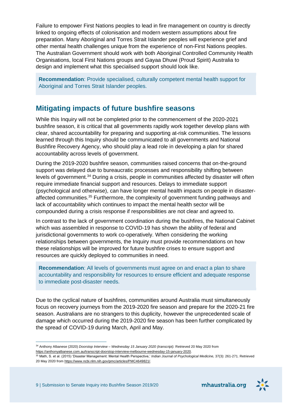Failure to empower First Nations peoples to lead in fire management on country is directly linked to ongoing effects of colonisation and modern western assumptions about fire preparation. Many Aboriginal and Torres Strait Islander peoples will experience grief and other mental health challenges unique from the experience of non-First Nations peoples. The Australian Government should work with both Aboriginal Controlled Community Health Organisations, local First Nations groups and Gayaa Dhuwi (Proud Spirit) Australia to design and implement what this specialised support should look like.

**Recommendation**: Provide specialised, culturally competent mental health support for Aboriginal and Torres Strait Islander peoples.

## <span id="page-11-0"></span>**Mitigating impacts of future bushfire seasons**

While this Inquiry will not be completed prior to the commencement of the 2020-2021 bushfire season, it is critical that all governments rapidly work together develop plans with clear, shared accountability for preparing and supporting at-risk communities. The lessons learned through this Inquiry should be communicated to all governments and National Bushfire Recovery Agency, who should play a lead role in developing a plan for shared accountability across levels of government.

During the 2019-2020 bushfire season, communities raised concerns that on-the-ground support was delayed due to bureaucratic processes and responsibility shifting between levels of government.<sup>34</sup> During a crisis, people in communities affected by disaster will often require immediate financial support and resources. Delays to immediate support (psychological and otherwise), can have longer mental health impacts on people in disasteraffected communities.<sup>35</sup> Furthermore, the complexity of government funding pathways and lack of accountability which continues to impact the mental health sector will be compounded during a crisis response if responsibilities are not clear and agreed to.

In contrast to the lack of government coordination during the bushfires, the National Cabinet which was assembled in response to COVID-19 has shown the ability of federal and jurisdictional governments to work co-operatively. When considering the working relationships between governments, the Inquiry must provide recommendations on how these relationships will be improved for future bushfire crises to ensure support and resources are quickly deployed to communities in need.

**Recommendation**: All levels of governments must agree on and enact a plan to share accountability and responsibility for resources to ensure efficient and adequate response to immediate post-disaster needs.

Due to the cyclical nature of bushfires, communities around Australia must simultaneously focus on recovery journeys from the 2019-2020 fire season and prepare for the 2020-21 fire season. Australians are no strangers to this duplicity, however the unprecedented scale of damage which occurred during the 2019-2020 fire season has been further complicated by the spread of COVID-19 during March, April and May.



<sup>34</sup> Anthony Albanese (2020) *Doorstop Interview – Wednesday 15 January 2020 (transcript).* Retrieved 20 May 2020 from

[https://anthonyalbanese.com.au/transcript-doorstop-interview-melbourne-wednesday-15-january-2020.](https://anthonyalbanese.com.au/transcript-doorstop-interview-melbourne-wednesday-15-january-2020)

<sup>35</sup> Math, S. et al. (2015) 'Disaster Management: Mental Health Perspective,' *Indian Journal of Psychological Medicine,* 37(3): 261-271. Retrieved 20 May 2020 fro[m https://www.ncbi.nlm.nih.gov/pmc/articles/PMC4649821/.](https://www.ncbi.nlm.nih.gov/pmc/articles/PMC4649821/)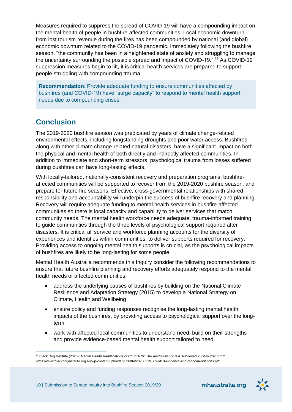Measures required to suppress the spread of COVID-19 will have a compounding impact on the mental health of people in bushfire-affected communities. Local economic downturn from lost tourism revenue during the fires has been compounded by national (and global) economic downturn related to the COVID-19 pandemic. Immediately following the bushfire season, "the community has been in a heightened state of anxiety and struggling to manage the uncertainty surrounding the possible spread and impact of COVID-19." <sup>36</sup> As COVID-19 suppression measures begin to lift, it is critical health services are prepared to support people struggling with compounding trauma.

**Recommendation**: Provide adequate funding to ensure communities affected by bushfires (and COVID-19) have "surge capacity" to respond to mental health support needs due to compounding crises.

# <span id="page-12-0"></span>**Conclusion**

 $\overline{a}$ 

The 2019-2020 bushfire season was predicated by years of climate change-related environmental effects, including longstanding droughts and poor water access. Bushfires, along with other climate change-related natural disasters, have a significant impact on both the physical and mental health of both directly and indirectly affected communities. In addition to immediate and short-term stressors, psychological trauma from losses suffered during bushfires can have long-lasting effects.

With locally-tailored, nationally-consistent recovery and preparation programs, bushfireaffected communities will be supported to recover from the 2019-2020 bushfire season, and prepare for future fire seasons. Effective, cross-governmental relationships with shared responsibility and accountability will underpin the success of bushfire recovery and planning. Recovery will require adequate funding to mental health services in bushfire-affected communities so there is local capacity and capability to deliver services that match community needs. The mental health workforce needs adequate, trauma-informed training to guide communities through the three levels of psychological support required after disasters. It is critical all service and workforce planning accounts for the diversity of experiences and identities within communities, to deliver supports required for recovery. Providing access to ongoing mental health supports is crucial, as the psychological impacts of bushfires are likely to be long-lasting for some people.

Mental Health Australia recommends this Inquiry consider the following recommendations to ensure that future bushfire planning and recovery efforts adequately respond to the mental health needs of affected communities:

- address the underlying causes of bushfires by building on the National Climate Resilience and Adaptation Strategy (2015) to develop a National Strategy on Climate, Health and Wellbeing
- ensure policy and funding responses recognise the long-lasting mental health impacts of the bushfires, by providing access to psychological support over the longterm
- work with affected local communities to understand need, build on their strengths and provide evidence-based mental health support tailored to need



<sup>36</sup> Black Dog Institute (2020). *Mental Health Ramifications of COVID-19: The Australian context.* Retrieved 20 May 2020 from [https://www.blackdoginstitute.org.au/wp-content/uploads/2020/04/20200319\\_covid19-evidence-and-reccomendations.pdf.](https://www.blackdoginstitute.org.au/wp-content/uploads/2020/04/20200319_covid19-evidence-and-reccomendations.pdf)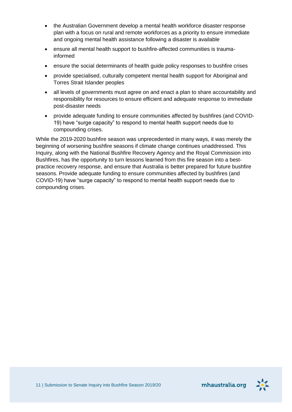- the Australian Government develop a mental health workforce disaster response plan with a focus on rural and remote workforces as a priority to ensure immediate and ongoing mental health assistance following a disaster is available
- ensure all mental health support to bushfire-affected communities is traumainformed
- ensure the social determinants of health guide policy responses to bushfire crises
- provide specialised, culturally competent mental health support for Aboriginal and Torres Strait Islander peoples
- all levels of governments must agree on and enact a plan to share accountability and responsibility for resources to ensure efficient and adequate response to immediate post-disaster needs
- provide adequate funding to ensure communities affected by bushfires (and COVID-19) have "surge capacity" to respond to mental health support needs due to compounding crises.

While the 2019-2020 bushfire season was unprecedented in many ways, it was merely the beginning of worsening bushfire seasons if climate change continues unaddressed. This Inquiry, along with the National Bushfire Recovery Agency and the Royal Commission into Bushfires, has the opportunity to turn lessons learned from this fire season into a bestpractice recovery response, and ensure that Australia is better prepared for future bushfire seasons. Provide adequate funding to ensure communities affected by bushfires (and COVID-19) have "surge capacity" to respond to mental health support needs due to compounding crises.